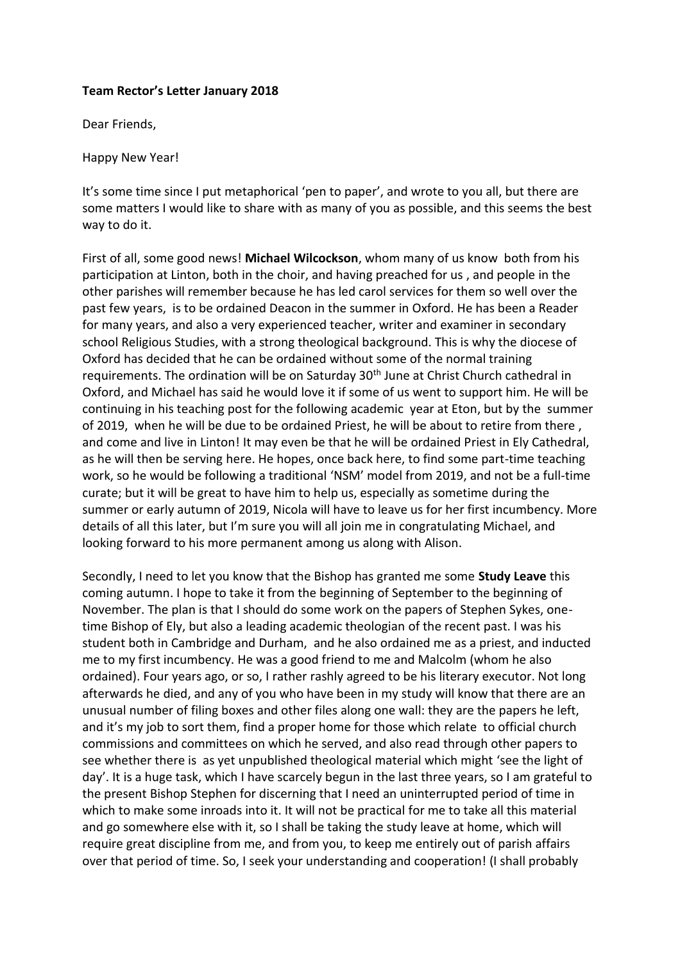## **Team Rector's Letter January 2018**

Dear Friends,

Happy New Year!

It's some time since I put metaphorical 'pen to paper', and wrote to you all, but there are some matters I would like to share with as many of you as possible, and this seems the best way to do it.

First of all, some good news! **Michael Wilcockson**, whom many of us know both from his participation at Linton, both in the choir, and having preached for us , and people in the other parishes will remember because he has led carol services for them so well over the past few years, is to be ordained Deacon in the summer in Oxford. He has been a Reader for many years, and also a very experienced teacher, writer and examiner in secondary school Religious Studies, with a strong theological background. This is why the diocese of Oxford has decided that he can be ordained without some of the normal training requirements. The ordination will be on Saturday 30<sup>th</sup> June at Christ Church cathedral in Oxford, and Michael has said he would love it if some of us went to support him. He will be continuing in his teaching post for the following academic year at Eton, but by the summer of 2019, when he will be due to be ordained Priest, he will be about to retire from there , and come and live in Linton! It may even be that he will be ordained Priest in Ely Cathedral, as he will then be serving here. He hopes, once back here, to find some part-time teaching work, so he would be following a traditional 'NSM' model from 2019, and not be a full-time curate; but it will be great to have him to help us, especially as sometime during the summer or early autumn of 2019, Nicola will have to leave us for her first incumbency. More details of all this later, but I'm sure you will all join me in congratulating Michael, and looking forward to his more permanent among us along with Alison.

Secondly, I need to let you know that the Bishop has granted me some **Study Leave** this coming autumn. I hope to take it from the beginning of September to the beginning of November. The plan is that I should do some work on the papers of Stephen Sykes, onetime Bishop of Ely, but also a leading academic theologian of the recent past. I was his student both in Cambridge and Durham, and he also ordained me as a priest, and inducted me to my first incumbency. He was a good friend to me and Malcolm (whom he also ordained). Four years ago, or so, I rather rashly agreed to be his literary executor. Not long afterwards he died, and any of you who have been in my study will know that there are an unusual number of filing boxes and other files along one wall: they are the papers he left, and it's my job to sort them, find a proper home for those which relate to official church commissions and committees on which he served, and also read through other papers to see whether there is as yet unpublished theological material which might 'see the light of day'. It is a huge task, which I have scarcely begun in the last three years, so I am grateful to the present Bishop Stephen for discerning that I need an uninterrupted period of time in which to make some inroads into it. It will not be practical for me to take all this material and go somewhere else with it, so I shall be taking the study leave at home, which will require great discipline from me, and from you, to keep me entirely out of parish affairs over that period of time. So, I seek your understanding and cooperation! (I shall probably